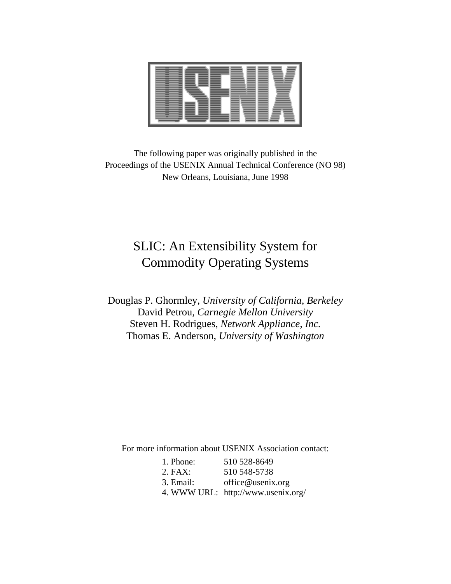

The following paper was originally published in the Proceedings of the USENIX Annual Technical Conference (NO 98) New Orleans, Louisiana, June 1998

# SLIC: An Extensibility System for Commodity Operating Systems

Douglas P. Ghormley, *University of California, Berkeley* David Petrou, *Carnegie Mellon University* Steven H. Rodrigues, *Network Appliance, Inc.* Thomas E. Anderson, *University of Washington*

For more information about USENIX Association contact:

| 1. Phone: | 510 528-8649                       |
|-----------|------------------------------------|
| $2.$ FAX: | 510 548-5738                       |
| 3. Email: | office@usenix.org                  |
|           | 4. WWW URL: http://www.usenix.org/ |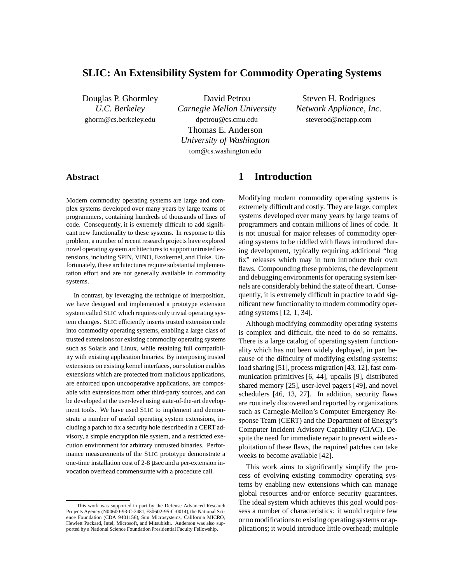# **SLIC: An Extensibility System for Commodity Operating Systems**

Douglas P. Ghormley *U.C. Berkeley* ghorm@cs.berkeley.edu

David Petrou *Carnegie Mellon University* dpetrou@cs.cmu.edu Thomas E. Anderson *University of Washington* tom@cs.washington.edu

Steven H. Rodrigues *Network Appliance, Inc.* steverod@netapp.com

#### **Abstract**

Modern commodity operating systems are large and complex systems developed over many years by large teams of programmers, containing hundreds of thousands of lines of code. Consequently, it is extremely difficult to add significant new functionality to these systems. In response to this problem, a number of recent research projects have explored novel operating system architectures to support untrusted extensions, including SPIN, VINO, Exokernel, and Fluke. Unfortunately, these architectures require substantialimplementation effort and are not generally available in commodity systems.

In contrast, by leveraging the technique of interposition, we have designed and implemented a prototype extension system called SLIC which requires only trivial operating system changes. SLIC efficiently inserts trusted extension code into commodity operating systems, enabling a large class of trusted extensions for existing commodity operating systems such as Solaris and Linux, while retaining full compatibility with existing application binaries. By interposing trusted extensions on existing kernel interfaces, our solution enables extensions which are protected from malicious applications, are enforced upon uncooperative applications, are composable with extensions from other third-party sources, and can be developed at the user-level using state-of-the-art development tools. We have used SLIC to implement and demonstrate a number of useful operating system extensions, including a patch to fix a security hole described in a CERT advisory, a simple encryption file system, and a restricted execution environment for arbitrary untrusted binaries. Performance measurements of the SLIC prototype demonstrate a one-time installation cost of 2-8 µsec and a per-extension invocation overhead commensurate with a procedure call.

## **1 Introduction**

Modifying modern commodity operating systems is extremely difficult and costly. They are large, complex systems developed over many years by large teams of programmers and contain millions of lines of code. It is not unusual for major releases of commodity operating systems to be riddled with flaws introduced during development, typically requiring additional "bug fix" releases which may in turn introduce their own flaws. Compounding these problems, the development and debugging environments for operating system kernels are considerably behind the state of the art. Consequently, it is extremely difficult in practice to add significant new functionality to modern commodity operating systems [12, 1, 34].

Although modifying commodity operating systems is complex and difficult, the need to do so remains. There is a large catalog of operating system functionality which has not been widely deployed, in part because of the difficulty of modifying existing systems: load sharing [51], process migration [43, 12], fast communication primitives [6, 44], upcalls [9], distributed shared memory [25], user-level pagers [49], and novel schedulers [46, 13, 27]. In addition, security flaws are routinely discovered and reported by organizations such as Carnegie-Mellon's Computer Emergency Response Team (CERT) and the Department of Energy's Computer Incident Advisory Capability (CIAC). Despite the need for immediate repair to prevent wide exploitation of these flaws, the required patches can take weeks to become available [42].

This work aims to significantly simplify the process of evolving existing commodity operating systems by enabling new extensions which can manage global resources and/or enforce security guarantees. The ideal system which achieves this goal would possess a number of characteristics: it would require few or no modifications to existingoperating systems or applications; it would introduce little overhead; multiple

This work was supported in part by the Defense Advanced Research Projects Agency (N00600-93-C-2481, F30602-95-C-0014), the National Science Foundation (CDA 9401156), Sun Microsystems, California MICRO, Hewlett Packard, Intel, Microsoft, and Mitsubishi. Anderson was also supported by a National Science Foundation Presidential Faculty Fellowship.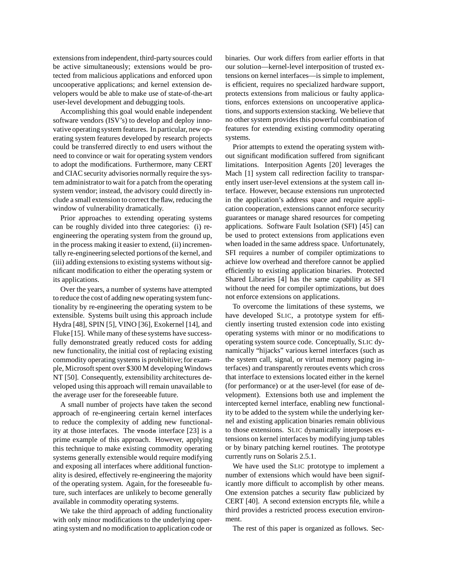extensions from independent, third-partysources could be active simultaneously; extensions would be protected from malicious applications and enforced upon uncooperative applications; and kernel extension developers would be able to make use of state-of-the-art user-level development and debugging tools.

Accomplishing this goal would enable independent software vendors (ISV's) to develop and deploy innovative operating system features. In particular, new operating system features developed by research projects could be transferred directly to end users without the need to convince or wait for operating system vendors to adopt the modifications. Furthermore, many CERT and CIAC security advisories normally require the system administrator to wait for a patch from the operating system vendor; instead, the advisory could directly include a small extension to correct the flaw, reducing the window of vulnerability dramatically.

Prior approaches to extending operating systems can be roughly divided into three categories: (i) reengineering the operating system from the ground up, in the process making it easier to extend, (ii) incrementally re-engineering selected portions of the kernel, and (iii) adding extensions to existing systems without significant modification to either the operating system or its applications.

Over the years, a number of systems have attempted to reduce the cost of adding new operating system functionality by re-engineering the operating system to be extensible. Systems built using this approach include Hydra [48], SPIN [5], VINO [36], Exokernel [14], and Fluke [15]. While many of these systems have successfully demonstrated greatly reduced costs for adding new functionality, the initial cost of replacing existing commodity operating systems is prohibitive; for example, Microsoft spent over \$300 M developing Windows NT [50]. Consequently, extensibility architectures developed using this approach will remain unavailable to the average user for the foreseeable future.

A small number of projects have taken the second approach of re-engineering certain kernel interfaces to reduce the complexity of adding new functionality at those interfaces. The vnode interface [23] is a prime example of this approach. However, applying this technique to make existing commodity operating systems generally extensible would require modifying and exposing all interfaces where additional functionality is desired, effectively re-engineering the majority of the operating system. Again, for the foreseeable future, such interfaces are unlikely to become generally available in commodity operating systems.

We take the third approach of adding functionality with only minor modifications to the underlying operating system and no modification to application code or

binaries. Our work differs from earlier efforts in that our solution—kernel-level interposition of trusted extensions on kernel interfaces—is simple to implement, is efficient, requires no specialized hardware support, protects extensions from malicious or faulty applications, enforces extensions on uncooperative applications, and supports extension stacking. We believe that no other system provides this powerful combination of features for extending existing commodity operating systems.

Prior attempts to extend the operating system without significant modification suffered from significant limitations. Interposition Agents [20] leverages the Mach [1] system call redirection facility to transparently insert user-level extensions at the system call interface. However, because extensions run unprotected in the application's address space and require application cooperation, extensions cannot enforce security guarantees or manage shared resources for competing applications. Software Fault Isolation (SFI) [45] can be used to protect extensions from applications even when loaded in the same address space. Unfortunately, SFI requires a number of compiler optimizations to achieve low overhead and therefore cannot be applied efficiently to existing application binaries. Protected Shared Libraries [4] has the same capability as SFI without the need for compiler optimizations, but does not enforce extensions on applications.

To overcome the limitations of these systems, we have developed SLIC, a prototype system for efficiently inserting trusted extension code into existing operating systems with minor or no modifications to operating system source code. Conceptually, SLIC dynamically "hijacks" various kernel interfaces (such as the system call, signal, or virtual memory paging interfaces) and transparently reroutes events which cross that interface to extensions located either in the kernel (for performance) or at the user-level (for ease of development). Extensions both use and implement the intercepted kernel interface, enabling new functionality to be added to the system while the underlying kernel and existing application binaries remain oblivious to those extensions. SLIC dynamically interposes extensions on kernel interfaces by modifying jump tables or by binary patching kernel routines. The prototype currently runs on Solaris 2.5.1.

We have used the SLIC prototype to implement a number of extensions which would have been significantly more difficult to accomplish by other means. One extension patches a security flaw publicized by CERT [40]. A second extension encrypts file, while a third provides a restricted process execution environment.

The rest of this paper is organized as follows. Sec-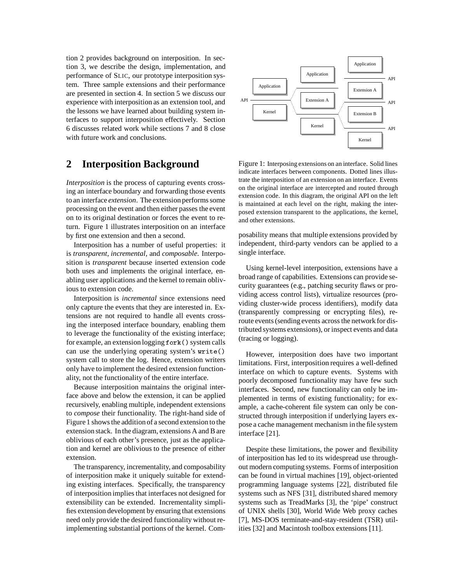tion 2 provides background on interposition. In section 3, we describe the design, implementation, and performance of SLIC, our prototype interposition system. Three sample extensions and their performance are presented in section 4. In section 5 we discuss our experience with interposition as an extension tool, and the lessons we have learned about building system interfaces to support interposition effectively. Section 6 discusses related work while sections 7 and 8 close with future work and conclusions.

## **2 Interposition Background**

*Interposition* is the process of capturing events crossing an interface boundary and forwarding those events to an interface *extension*. The extension performs some processing on the event and then either passes the event on to its original destination or forces the event to return. Figure 1 illustrates interposition on an interface by first one extension and then a second.

Interposition has a number of useful properties: it is *transparent*, *incremental*, and *composable*. Interposition is *transparent* because inserted extension code both uses and implements the original interface, enabling user applications and the kernel to remain oblivious to extension code.

Interposition is *incremental* since extensions need only capture the events that they are interested in. Extensions are not required to handle all events crossing the interposed interface boundary, enabling them to leverage the functionality of the existing interface; for example, an extension logging fork() system calls can use the underlying operating system's write() system call to store the log. Hence, extension writers only have to implement the desired extension functionality, not the functionality of the entire interface.

Because interposition maintains the original interface above and below the extension, it can be applied recursively, enabling multiple, independent extensions to *compose* their functionality. The right-hand side of Figure 1 shows the additionof a second extension to the extension stack. In the diagram, extensions A and B are oblivious of each other's presence, just as the application and kernel are oblivious to the presence of either extension.

The transparency, incrementality, and composability of interposition make it uniquely suitable for extending existing interfaces. Specifically, the transparency of interposition implies that interfaces not designed for extensibility can be extended. Incrementality simplifies extension development by ensuring that extensions need only provide the desired functionality without reimplementing substantial portions of the kernel. Com-



Figure 1: Interposing extensions on an interface. Solid lines indicate interfaces between components. Dotted lines illustrate the interposition of an extension on an interface. Events on the original interface are intercepted and routed through extension code. In this diagram, the original API on the left is maintained at each level on the right, making the interposed extension transparent to the applications, the kernel, and other extensions.

posability means that multiple extensions provided by independent, third-party vendors can be applied to a single interface.

Using kernel-level interposition, extensions have a broad range of capabilities. Extensions can provide security guarantees (e.g., patching security flaws or providing access control lists), virtualize resources (providing cluster-wide process identifiers), modify data (transparently compressing or encrypting files), reroute events (sending events across the network for distributed systems extensions), or inspect events and data (tracing or logging).

However, interposition does have two important limitations. First, interposition requires a well-defined interface on which to capture events. Systems with poorly decomposed functionality may have few such interfaces. Second, new functionality can only be implemented in terms of existing functionality; for example, a cache-coherent file system can only be constructed through interposition if underlying layers expose a cache management mechanism in the file system interface [21].

Despite these limitations, the power and flexibility of interposition has led to its widespread use throughout modern computing systems. Forms of interposition can be found in virtual machines [19], object-oriented programming language systems [22], distributed file systems such as NFS [31], distributed shared memory systems such as TreadMarks [3], the 'pipe' construct of UNIX shells [30], World Wide Web proxy caches [7], MS-DOS terminate-and-stay-resident (TSR) utilities [32] and Macintosh toolbox extensions [11].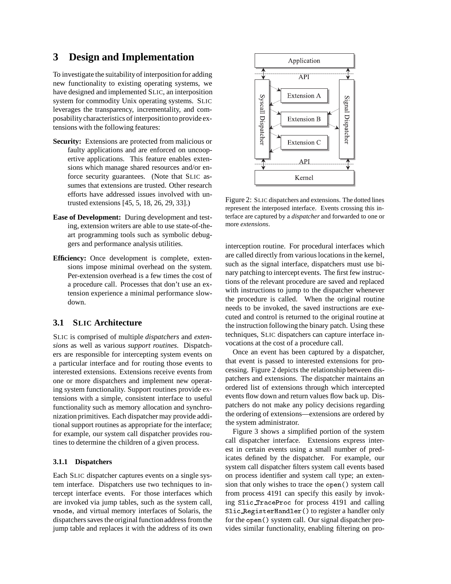# **3 Design and Implementation**

To investigate the suitabilityof interpositionfor adding new functionality to existing operating systems, we have designed and implemented SLIC, an interposition system for commodity Unix operating systems. SLIC leverages the transparency, incrementality, and composabilitycharacteristics of interpositionto provide extensions with the following features:

- **Security:** Extensions are protected from malicious or faulty applications and are enforced on uncoopertive applications. This feature enables extensions which manage shared resources and/or enforce security guarantees. (Note that SLIC assumes that extensions are trusted. Other research efforts have addressed issues involved with untrusted extensions [45, 5, 18, 26, 29, 33].)
- **Ease of Development:** During development and testing, extension writers are able to use state-of-theart programming tools such as symbolic debuggers and performance analysis utilities.
- **Efficiency:** Once development is complete, extensions impose minimal overhead on the system. Per-extension overhead is a few times the cost of a procedure call. Processes that don't use an extension experience a minimal performance slowdown.

#### **3.1 SLIC Architecture**

SLIC is comprised of multiple *dispatchers* and *extensions* as well as various *support routines*. Dispatchers are responsible for intercepting system events on a particular interface and for routing those events to interested extensions. Extensions receive events from one or more dispatchers and implement new operating system functionality. Support routines provide extensions with a simple, consistent interface to useful functionality such as memory allocation and synchronization primitives. Each dispatcher may provide additional support routines as appropriate for the interface; for example, our system call dispatcher provides routines to determine the children of a given process.

#### **3.1.1 Dispatchers**

Each SLIC dispatcher captures events on a single system interface. Dispatchers use two techniques to intercept interface events. For those interfaces which are invoked via jump tables, such as the system call, vnode, and virtual memory interfaces of Solaris, the dispatchers saves the original functionaddress from the jump table and replaces it with the address of its own



Figure 2: SLIC dispatchers and extensions. The dotted lines represent the interposed interface. Events crossing this interface are captured by a *dispatcher* and forwarded to one or more *extensions*.

interception routine. For procedural interfaces which are called directly from various locations in the kernel, such as the signal interface, dispatchers must use binary patching to intercept events. The first few instructions of the relevant procedure are saved and replaced with instructions to jump to the dispatcher whenever the procedure is called. When the original routine needs to be invoked, the saved instructions are executed and control is returned to the original routine at the instruction following the binary patch. Using these techniques, SLIC dispatchers can capture interface invocations at the cost of a procedure call.

Once an event has been captured by a dispatcher, that event is passed to interested extensions for processing. Figure 2 depicts the relationship between dispatchers and extensions. The dispatcher maintains an ordered list of extensions through which intercepted events flow down and return values flow back up. Dispatchers do not make any policy decisions regarding the ordering of extensions—extensions are ordered by the system administrator.

Figure 3 shows a simplified portion of the system call dispatcher interface. Extensions express interest in certain events using a small number of predicates defined by the dispatcher. For example, our system call dispatcher filters system call events based on process identifier and system call type; an extension that only wishes to trace the open() system call from process 4191 can specify this easily by invoking Slic TraceProc for process 4191 and calling Slic RegisterHandler() to register a handler only for the open() system call. Our signal dispatcher provides similar functionality, enabling filtering on pro-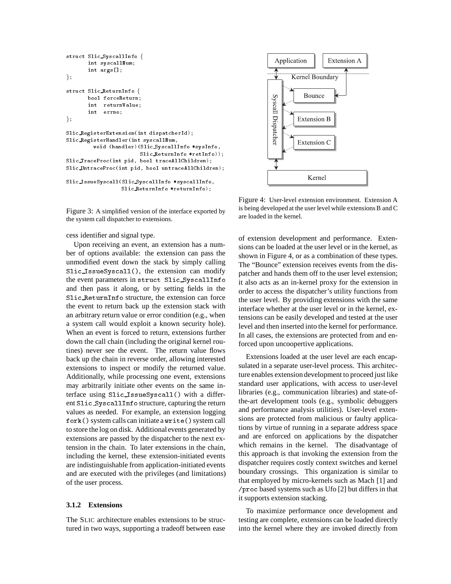```
struct Slic SyscallInfo {
      int syscallNum;
       int args[];
g;
struct Slic ReturnInfo f
      bool forceReturn;
       int returnValue;
       int errno;
g;
Slic RegisterExtension(int dispatcherId);
Slic RegisterHandler(int syscallNum,
        void (handler)(Slic SyscallInfo *sysInfo,
                       Slic ReturnInfo *retInfo));
Slic TraceProc(int pid, bool traceAllChildren);
Slic UntraceProc(int pid, bool untraceAllChildren);
Slic IssueSyscall(Slic SyscallInfo *syscallInfo,
                  Slic ReturnInfo *returnInfo);
```
Figure 3: A simplified version of the interface exported by the system call dispatcher to extensions.

cess identifier and signal type.

Upon receiving an event, an extension has a number of options available: the extension can pass the unmodified event down the stack by simply calling Slic IssueSyscall(), the extension can modify the event parameters in struct Slic SyscallInfo and then pass it along, or by setting fields in the Slic ReturnInfo structure, the extension can force the event to return back up the extension stack with an arbitrary return value or error condition (e.g., when a system call would exploit a known security hole). When an event is forced to return, extensions further down the call chain (including the original kernel routines) never see the event. The return value flows back up the chain in reverse order, allowing interested extensions to inspect or modify the returned value. Additionally, while processing one event, extensions may arbitrarily initiate other events on the same interface using Slic IssueSyscall() with a different Slic SyscallInfo structure, capturing the return values as needed. For example, an extension logging fork() system calls can initiate a write() system call to store the log on disk. Additional events generated by extensions are passed by the dispatcher to the next extension in the chain. To later extensions in the chain, including the kernel, these extension-initiated events are indistinguishable from application-initiated events and are executed with the privileges (and limitations) of the user process.

#### **3.1.2 Extensions**

The SLIC architecture enables extensions to be structured in two ways, supporting a tradeoff between ease



Figure 4: User-level extension environment. Extension A is being developed at the user level while extensions B and C are loaded in the kernel.

of extension development and performance. Extensions can be loaded at the user level or in the kernel, as shown in Figure 4, or as a combination of these types. The "Bounce" extension receives events from the dispatcher and hands them off to the user level extension; it also acts as an in-kernel proxy for the extension in order to access the dispatcher's utility functions from the user level. By providing extensions with the same interface whether at the user level or in the kernel, extensions can be easily developed and tested at the user level and then inserted into the kernel for performance. In all cases, the extensions are protected from and enforced upon uncoopertive applications.

Extensions loaded at the user level are each encapsulated in a separate user-level process. This architecture enables extension development to proceed just like standard user applications, with access to user-level libraries (e.g., communication libraries) and state-ofthe-art development tools (e.g., symbolic debuggers and performance analysis utilities). User-level extensions are protected from malicious or faulty applications by virtue of running in a separate address space and are enforced on applications by the dispatcher which remains in the kernel. The disadvantage of this approach is that invoking the extension from the dispatcher requires costly context switches and kernel boundary crossings. This organization is similar to that employed by micro-kernels such as Mach [1] and /proc based systems such as Ufo [2] but differs in that it supports extension stacking.

To maximize performance once development and testing are complete, extensions can be loaded directly into the kernel where they are invoked directly from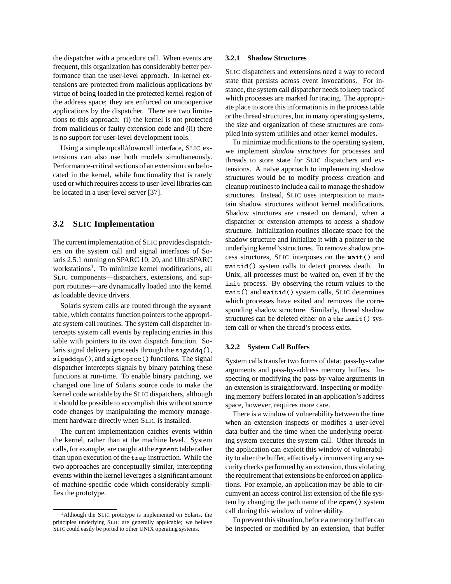the dispatcher with a procedure call. When events are frequent, this organization has considerably better performance than the user-level approach. In-kernel extensions are protected from malicious applications by virtue of being loaded in the protected kernel region of the address space; they are enforced on uncoopertive applications by the dispatcher. There are two limitations to this approach: (i) the kernel is not protected from malicious or faulty extension code and (ii) there is no support for user-level development tools.

Using a simple upcall/downcall interface, SLIC extensions can also use both models simultaneously. Performance-critical sections of an extension can be located in the kernel, while functionality that is rarely used or which requires access to user-level libraries can be located in a user-level server [37].

#### **3.2 SLIC Implementation**

The current implementation of SLIC provides dispatchers on the system call and signal interfaces of Solaris 2.5.1 running on SPARC 10, 20, and UltraSPARC workstations<sup>1</sup>. To minimize kernel modifications, all SLIC components—dispatchers, extensions, and support routines—are dynamically loaded into the kernel as loadable device drivers.

Solaris system calls are routed through the sysent table, which contains function pointers to the appropriate system call routines. The system call dispatcher intercepts system call events by replacing entries in this table with pointers to its own dispatch function. Solaris signal delivery proceeds through the sigaddq(), sigaddqa(), and sigtoproc() functions. The signal dispatcher intercepts signals by binary patching these functions at run-time. To enable binary patching, we changed one line of Solaris source code to make the kernel code writable by the SLIC dispatchers, although it should be possible to accomplish this without source code changes by manipulating the memory management hardware directly when SLIC is installed.

The current implementation catches events within the kernel, rather than at the machine level. System calls, for example, are caught at the sysent table rather than upon execution of the trap instruction. While the two approaches are conceptually similar, intercepting events within the kernel leverages a significant amount of machine-specific code which considerably simplifies the prototype.

#### **3.2.1 Shadow Structures**

SLIC dispatchers and extensions need a way to record state that persists across event invocations. For instance, the system call dispatcher needs to keep track of which processes are marked for tracing. The appropriate place to store this informationis in the process table or the thread structures, but in many operating systems, the size and organization of these structures are compiled into system utilities and other kernel modules.

To minimize modifications to the operating system, we implement *shadow structures* for processes and threads to store state for SLIC dispatchers and extensions. A naïve approach to implementing shadow structures would be to modify process creation and cleanup routines to include a call to manage the shadow structures. Instead, SLIC uses interposition to maintain shadow structures without kernel modifications. Shadow structures are created on demand, when a dispatcher or extension attempts to access a shadow structure. Initialization routines allocate space for the shadow structure and initialize it with a pointer to the underlying kernel's structures. To remove shadow process structures, SLIC interposes on the wait() and waitid() system calls to detect process death. In Unix, all processes must be waited on, even if by the init process. By observing the return values to the wait() and waitid() system calls, SLIC determines which processes have exited and removes the corresponding shadow structure. Similarly, thread shadow structures can be deleted either on a thr\_exit() system call or when the thread's process exits.

#### **3.2.2 System Call Buffers**

System calls transfer two forms of data: pass-by-value arguments and pass-by-address memory buffers. Inspecting or modifying the pass-by-value arguments in an extension is straightforward. Inspecting or modifying memory buffers located in an application's address space, however, requires more care.

There is a window of vulnerability between the time when an extension inspects or modifies a user-level data buffer and the time when the underlying operating system executes the system call. Other threads in the application can exploit this window of vulnerability to alter the buffer, effectively circumventing any security checks performed by an extension, thus violating the requirement that extensions be enforced on applications. For example, an application may be able to circumvent an access control list extension of the file system by changing the path name of the open() system call during this window of vulnerability.

To prevent this situation, before a memory buffer can be inspected or modified by an extension, that buffer

<sup>1</sup>Although the SLIC prototype is implemented on Solaris, the principles underlying SLIC are generally applicable; we believe SLIC could easily be ported to other UNIX operating systems.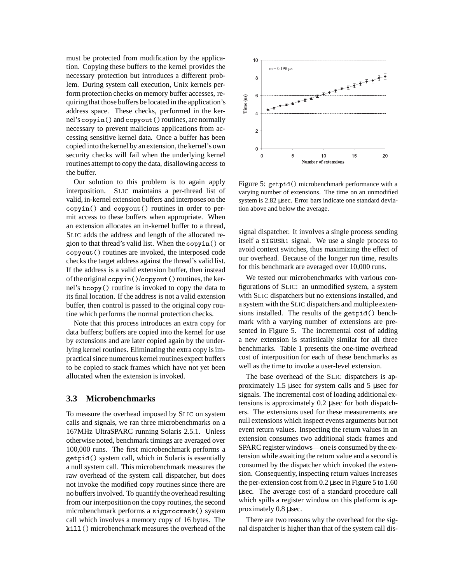must be protected from modification by the application. Copying these buffers to the kernel provides the necessary protection but introduces a different problem. During system call execution, Unix kernels perform protection checks on memory buffer accesses, requiringthat those buffers be located in the application's address space. These checks, performed in the kernel's copyin() and copyout() routines, are normally necessary to prevent malicious applications from accessing sensitive kernel data. Once a buffer has been copied into the kernel by an extension, the kernel's own security checks will fail when the underlying kernel routines attempt to copy the data, disallowing access to the buffer.

Our solution to this problem is to again apply interposition. SLIC maintains a per-thread list of valid, in-kernel extension buffers and interposes on the copyin() and copyout() routines in order to permit access to these buffers when appropriate. When an extension allocates an in-kernel buffer to a thread, SLIC adds the address and length of the allocated region to that thread's valid list. When the copyin() or copyout() routines are invoked, the interposed code checks the target address against the thread's valid list. If the address is a valid extension buffer, then instead of the original copyin()/copyout() routines, the kernel's bcopy() routine is invoked to copy the data to its final location. If the address is not a valid extension buffer, then control is passed to the original copy routine which performs the normal protection checks.

Note that this process introduces an extra copy for data buffers; buffers are copied into the kernel for use by extensions and are later copied again by the underlying kernel routines. Eliminating the extra copy is impractical since numerous kernel routines expect buffers to be copied to stack frames which have not yet been allocated when the extension is invoked.

#### **3.3 Microbenchmarks**

To measure the overhead imposed by SLIC on system calls and signals, we ran three microbenchmarks on a 167MHz UltraSPARC running Solaris 2.5.1. Unless otherwise noted, benchmark timings are averaged over 100,000 runs. The first microbenchmark performs a getpid() system call, which in Solaris is essentially a null system call. This microbenchmark measures the raw overhead of the system call dispatcher, but does not invoke the modified copy routines since there are no buffers involved. To quantifythe overhead resulting from our interpositionon the copy routines, the second microbenchmark performs a sigprocmask() system call which involves a memory copy of 16 bytes. The kill() microbenchmark measures the overhead of the



Figure 5: getpid() microbenchmark performance with a varying number of extensions. The time on an unmodified system is 2.82 usec. Error bars indicate one standard deviation above and below the average.

signal dispatcher. It involves a single process sending itself a SIGUSR1 signal. We use a single process to avoid context switches, thus maximizing the effect of our overhead. Because of the longer run time, results for this benchmark are averaged over 10,000 runs.

We tested our microbenchmarks with various configurations of SLIC: an unmodified system, a system with SLIC dispatchers but no extensions installed, and a system with the SLIC dispatchers and multiple extensions installed. The results of the getpid() benchmark with a varying number of extensions are presented in Figure 5. The incremental cost of adding a new extension is statistically similar for all three benchmarks. Table 1 presents the one-time overhead cost of interposition for each of these benchmarks as well as the time to invoke a user-level extension.

The base overhead of the SLIC dispatchers is approximately 1.5 µsec for system calls and 5 µsec for signals. The incremental cost of loading additional extensions is approximately 0.2 µsec for both dispatchers. The extensions used for these measurements are null extensions which inspect events arguments but not event return values. Inspecting the return values in an extension consumes two additional stack frames and SPARC register windows—one is consumed by the extension while awaiting the return value and a second is consumed by the dispatcher which invoked the extension. Consequently, inspecting return values increases the per-extension cost from 0.2 µsec in Figure 5 to 1.60 µsec. The average cost of a standard procedure call which spills a register window on this platform is approximately 0.8 µsec.

There are two reasons why the overhead for the signal dispatcher is higher than that of the system call dis-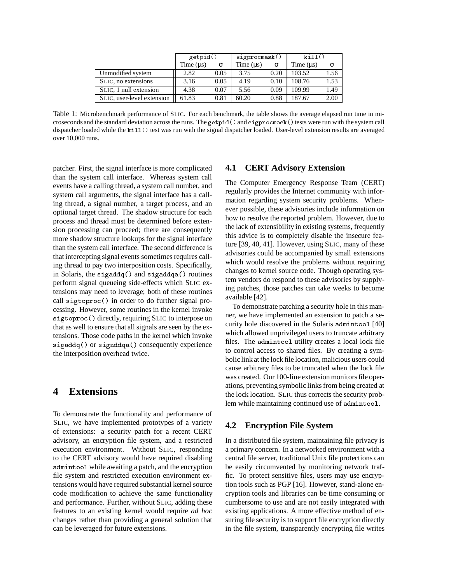|                            | getpid()       |      | signrocmask() |          | kill()      |      |
|----------------------------|----------------|------|---------------|----------|-------------|------|
|                            | Time $(\mu s)$ | σ    | Time $(us)$   | $\sigma$ | Time $(us)$ |      |
| Unmodified system          | 2.82           | 0.05 | 3.75          | 0.20     | 103.52      | 1.56 |
| SLIC, no extensions        | 3.16           | 0.05 | 4.19          | 0.10     | 108.76      | 1.53 |
| SLIC, 1 null extension     | 4.38           | 0.07 | 5.56          | 0.09     | 109.99      | 1.49 |
| SLIC, user-level extension | 61.83          | 0.81 | 60.20         | 0.88     | 187.67      | 2.00 |

Table 1: Microbenchmark performance of SLIC. For each benchmark, the table shows the average elapsed run time in microseconds and the standard deviation across the runs. The getpid() and sigprocmask() tests were run with the system call dispatcher loaded while the kill() test was run with the signal dispatcher loaded. User-level extension results are averaged over 10,000 runs.

patcher. First, the signal interface is more complicated than the system call interface. Whereas system call events have a calling thread, a system call number, and system call arguments, the signal interface has a calling thread, a signal number, a target process, and an optional target thread. The shadow structure for each process and thread must be determined before extension processing can proceed; there are consequently more shadow structure lookups for the signal interface than the system call interface. The second difference is that intercepting signal events sometimes requires calling thread to pay two interposition costs. Specifically, in Solaris, the sigaddq() and sigaddqa() routines perform signal queueing side-effects which SLIC extensions may need to leverage; both of these routines call sigtoproc() in order to do further signal processing. However, some routines in the kernel invoke sigtoproc() directly, requiring SLIC to interpose on that as well to ensure that all signals are seen by the extensions. Those code paths in the kernel which invoke sigaddq() or sigaddqa() consequently experience the interposition overhead twice.

## **4 Extensions**

To demonstrate the functionality and performance of SLIC, we have implemented prototypes of a variety of extensions: a security patch for a recent CERT advisory, an encryption file system, and a restricted execution environment. Without SLIC, responding to the CERT advisory would have required disabling admintool while awaiting a patch, and the encryption file system and restricted execution environment extensions would have required substantial kernel source code modification to achieve the same functionality and performance. Further, without SLIC, adding these features to an existing kernel would require *ad hoc* changes rather than providing a general solution that can be leveraged for future extensions.

#### **4.1 CERT Advisory Extension**

The Computer Emergency Response Team (CERT) regularly provides the Internet community with information regarding system security problems. Whenever possible, these advisories include information on how to resolve the reported problem. However, due to the lack of extensibility in existing systems, frequently this advice is to completely disable the insecure feature [39, 40, 41]. However, using SLIC, many of these advisories could be accompanied by small extensions which would resolve the problems without requiring changes to kernel source code. Though operating system vendors do respond to these advisories by supplying patches, those patches can take weeks to become available [42].

To demonstrate patching a security hole in this manner, we have implemented an extension to patch a security hole discovered in the Solaris admintool [40] which allowed unprivileged users to truncate arbitrary files. The admintool utility creates a local lock file to control access to shared files. By creating a symbolic link at the lock file location, malicious users could cause arbitrary files to be truncated when the lock file was created. Our 100-line extension monitors file operations, preventing symbolic links from being created at the lock location. SLIC thus corrects the security problem while maintaining continued use of admintool.

#### **4.2 Encryption File System**

In a distributed file system, maintaining file privacy is a primary concern. In a networked environment with a central file server, traditional Unix file protections can be easily circumvented by monitoring network traffic. To protect sensitive files, users may use encryption tools such as PGP [16]. However, stand-alone encryption tools and libraries can be time consuming or cumbersome to use and are not easily integrated with existing applications. A more effective method of ensuring file security is to support file encryption directly in the file system, transparently encrypting file writes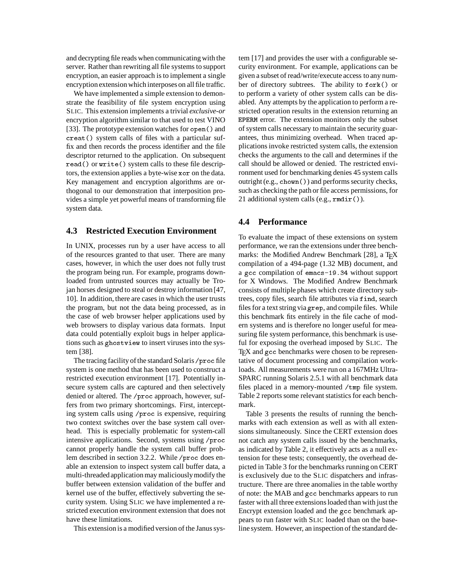and decrypting file reads when communicating with the server. Rather than rewriting all file systems to support encryption, an easier approach is to implement a single encryption extension which interposes on all file traffic.

We have implemented a simple extension to demonstrate the feasibility of file system encryption using SLIC. This extension implements a trivial *exclusive-or* encryption algorithm similar to that used to test VINO [33]. The prototype extension watches for open() and creat() system calls of files with a particular suffix and then records the process identifier and the file descriptor returned to the application. On subsequent read() or write() system calls to these file descriptors, the extension applies a byte-wise xor on the data. Key management and encryption algorithms are orthogonal to our demonstration that interposition provides a simple yet powerful means of transforming file system data.

#### **4.3 Restricted Execution Environment**

In UNIX, processes run by a user have access to all of the resources granted to that user. There are many cases, however, in which the user does not fully trust the program being run. For example, programs downloaded from untrusted sources may actually be Trojan horses designed to steal or destroy information [47, 10]. In addition, there are cases in which the user trusts the program, but not the data being processed, as in the case of web browser helper applications used by web browsers to display various data formats. Input data could potentially exploit bugs in helper applications such as ghostview to insert viruses into the system [38].

The tracing facility of the standard Solaris / proc file system is one method that has been used to construct a restricted execution environment [17]. Potentially insecure system calls are captured and then selectively denied or altered. The /proc approach, however, suffers from two primary shortcomings. First, intercepting system calls using /proc is expensive, requiring two context switches over the base system call overhead. This is especially problematic for system-call intensive applications. Second, systems using /proc cannot properly handle the system call buffer problem described in section 3.2.2. While /proc does enable an extension to inspect system call buffer data, a multi-threadedapplication may maliciouslymodify the buffer between extension validation of the buffer and kernel use of the buffer, effectively subverting the security system. Using SLIC we have implemented a restricted execution environment extension that does not have these limitations.

This extension is a modified version of the Janus sys-

tem [17] and provides the user with a configurable security environment. For example, applications can be given a subset of read/write/execute access to any number of directory subtrees. The ability to fork() or to perform a variety of other system calls can be disabled. Any attempts by the application to perform a restricted operation results in the extension returning an EPERM error. The extension monitors only the subset of system calls necessary to maintain the security guarantees, thus minimizing overhead. When traced applications invoke restricted system calls, the extension checks the arguments to the call and determines if the call should be allowed or denied. The restricted environment used for benchmarking denies 45 system calls outright (e.g., chown()) and performs security checks, such as checking the path or file access permissions, for 21 additional system calls (e.g., rmdir()).

#### **4.4 Performance**

To evaluate the impact of these extensions on system performance, we ran the extensions under three benchmarks: the Modified Andrew Benchmark [28], a T $\overline{\rm E}$ X compilation of a 494-page (1.32 MB) document, and a gcc compilation of emacs-19.34 without support for X Windows. The Modified Andrew Benchmark consists of multiple phases which create directory subtrees, copy files, search file attributes via find, search files for a text string via grep, and compile files. While this benchmark fits entirely in the file cache of modern systems and is therefore no longer useful for measuring file system performance, this benchmark is useful for exposing the overhead imposed by SLIC. The T<sub>EX</sub> and gcc benchmarks were chosen to be representative of document processing and compilation workloads. All measurements were run on a 167MHz Ultra-SPARC running Solaris 2.5.1 with all benchmark data files placed in a memory-mounted /tmp file system. Table 2 reports some relevant statistics for each benchmark.

Table 3 presents the results of running the benchmarks with each extension as well as with all extensions simultaneously. Since the CERT extension does not catch any system calls issued by the benchmarks, as indicated by Table 2, it effectively acts as a null extension for these tests; consequently, the overhead depicted in Table 3 for the benchmarks running on CERT is exclusively due to the SLIC dispatchers and infrastructure. There are three anomalies in the table worthy of note: the MAB and gcc benchmarks appears to run faster with all three extensions loaded than with just the Encrypt extension loaded and the gcc benchmark appears to run faster with SLIC loaded than on the baseline system. However, an inspection of the standard de-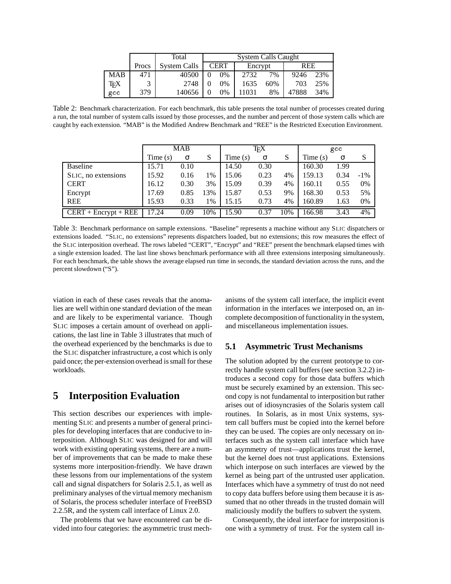|     |       | Total               | <b>System Calls Caught</b> |       |         |     |            |     |
|-----|-------|---------------------|----------------------------|-------|---------|-----|------------|-----|
|     | Procs | <b>System Calls</b> | <b>CERT</b>                |       | Encrypt |     | <b>REE</b> |     |
| MAB | 471   | 40500               |                            | $0\%$ | 2732    | 7%  | 9246       | 23% |
| TFX |       | 2748                |                            | $0\%$ | 1635    | 60% | 703        | 25% |
| gcc | 379   | 140656              |                            | 0%    | 11031   | 8%  | 47888      | 34% |

Table 2: Benchmark characterization. For each benchmark, this table presents the total number of processes created during a run, the total number of system calls issued by those processes, and the number and percent of those system calls which are caught by each extension. "MAB" is the Modified Andrew Benchmark and "REE" is the Restricted Execution Environment.

|                       | MAB        |      |     | ΤFΧ        |          |     | gcc        |      |        |
|-----------------------|------------|------|-----|------------|----------|-----|------------|------|--------|
|                       | Time $(s)$ | σ    | S   | Time $(s)$ | $\sigma$ | S   | Time $(s)$ | σ    | S      |
| <b>Baseline</b>       | 15.71      | 0.10 |     | 14.50      | 0.30     |     | 160.30     | 1.99 |        |
| SLIC, no extensions   | 15.92      | 0.16 | 1%  | 15.06      | 0.23     | 4%  | 159.13     | 0.34 | $-1\%$ |
| <b>CERT</b>           | 16.12      | 0.30 | 3%  | 15.09      | 0.39     | 4%  | 160.11     | 0.55 | 0%     |
| Encrypt               | 17.69      | 0.85 | 13% | 15.87      | 0.53     | 9%  | 168.30     | 0.53 | 5%     |
| <b>REE</b>            | 15.93      | 0.33 | 1%  | 15.15      | 0.73     | 4%  | 160.89     | 1.63 | 0%     |
| $CERT + Energy + REE$ | 17.24      | 0.09 | 10% | 15.90      | 0.37     | 10% | 166.98     | 3.43 | 4%     |

Table 3: Benchmark performance on sample extensions. "Baseline" represents a machine without any SLIC dispatchers or extensions loaded. "SLIC, no extensions" represents dispatchers loaded, but no extensions; this row measures the effect of the SLIC interposition overhead. The rows labeled "CERT", "Encrypt" and "REE" present the benchmark elapsed times with a single extension loaded. The last line shows benchmark performance with all three extensions interposing simultaneously. For each benchmark, the table shows the average elapsed run time in seconds, the standard deviation across the runs, and the percent slowdown ("S").

viation in each of these cases reveals that the anomalies are well within one standard deviation of the mean and are likely to be experimental variance. Though SLIC imposes a certain amount of overhead on applications, the last line in Table 3 illustrates that much of the overhead experienced by the benchmarks is due to the SLIC dispatcher infrastructure, a cost which is only paid once; the per-extension overhead is small for these workloads.

## **5 Interposition Evaluation**

This section describes our experiences with implementing SLIC and presents a number of general principles for developing interfaces that are conducive to interposition. Although SLIC was designed for and will work with existing operating systems, there are a number of improvements that can be made to make these systems more interposition-friendly. We have drawn these lessons from our implementations of the system call and signal dispatchers for Solaris 2.5.1, as well as preliminary analyses of the virtual memory mechanism of Solaris, the process scheduler interface of FreeBSD 2.2.5R, and the system call interface of Linux 2.0.

The problems that we have encountered can be divided into four categories: the asymmetric trust mechanisms of the system call interface, the implicit event information in the interfaces we interposed on, an incomplete decomposition of functionalityin the system, and miscellaneous implementation issues.

### **5.1 Asymmetric Trust Mechanisms**

The solution adopted by the current prototype to correctly handle system call buffers (see section 3.2.2) introduces a second copy for those data buffers which must be securely examined by an extension. This second copy is not fundamental to interposition but rather arises out of idiosyncrasies of the Solaris system call routines. In Solaris, as in most Unix systems, system call buffers must be copied into the kernel before they can be used. The copies are only necessary on interfaces such as the system call interface which have an asymmetry of trust—applications trust the kernel, but the kernel does not trust applications. Extensions which interpose on such interfaces are viewed by the kernel as being part of the untrusted user application. Interfaces which have a symmetry of trust do not need to copy data buffers before using them because it is assumed that no other threads in the trusted domain will maliciously modify the buffers to subvert the system.

Consequently, the ideal interface for interposition is one with a symmetry of trust. For the system call in-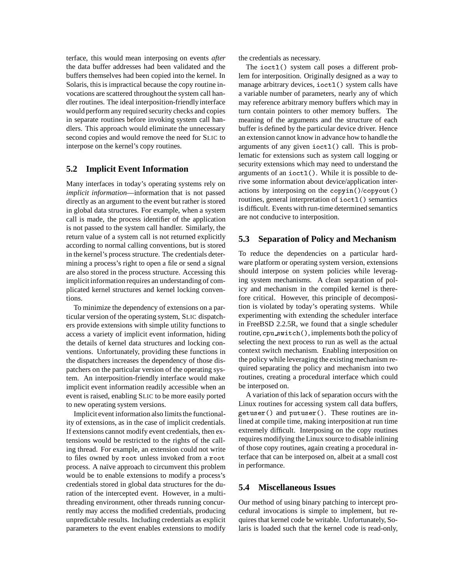terface, this would mean interposing on events *after* the data buffer addresses had been validated and the buffers themselves had been copied into the kernel. In Solaris, this is impractical because the copy routine invocations are scattered throughout the system call handler routines. The ideal interposition-friendlyinterface would perform any required security checks and copies in separate routines before invoking system call handlers. This approach would eliminate the unnecessary second copies and would remove the need for SLIC to interpose on the kernel's copy routines.

## **5.2 Implicit Event Information**

Many interfaces in today's operating systems rely on *implicit information*—information that is not passed directly as an argument to the event but rather is stored in global data structures. For example, when a system call is made, the process identifier of the application is not passed to the system call handler. Similarly, the return value of a system call is not returned explicitly according to normal calling conventions, but is stored in the kernel's process structure. The credentials determining a process's right to open a file or send a signal are also stored in the process structure. Accessing this implicit information requires an understanding of complicated kernel structures and kernel locking conventions.

To minimize the dependency of extensions on a particular version of the operating system, SLIC dispatchers provide extensions with simple utility functions to access a variety of implicit event information, hiding the details of kernel data structures and locking conventions. Unfortunately, providing these functions in the dispatchers increases the dependency of those dispatchers on the particular version of the operating system. An interposition-friendly interface would make implicit event information readily accessible when an event is raised, enabling SLIC to be more easily ported to new operating system versions.

Implicit event information also limits the functionality of extensions, as in the case of implicit credentials. If extensions cannot modify event credentials, then extensions would be restricted to the rights of the calling thread. For example, an extension could not write to files owned by root unless invoked from a root process. A naïve approach to circumvent this problem would be to enable extensions to modify a process's credentials stored in global data structures for the duration of the intercepted event. However, in a multithreading environment, other threads running concurrently may access the modified credentials, producing unpredictable results. Including credentials as explicit parameters to the event enables extensions to modify

the credentials as necessary.

The ioctl() system call poses a different problem for interposition. Originally designed as a way to manage arbitrary devices, ioctl() system calls have a variable number of parameters, nearly any of which may reference arbitrary memory buffers which may in turn contain pointers to other memory buffers. The meaning of the arguments and the structure of each buffer is defined by the particular device driver. Hence an extension cannot know in advance how to handle the arguments of any given ioctl() call. This is problematic for extensions such as system call logging or security extensions which may need to understand the arguments of an ioctl(). While it is possible to derive some information about device/application interactions by interposing on the copyin( $)/$ copyout() routines, general interpretation of ioctl() semantics is difficult. Events with run-time determined semantics are not conducive to interposition.

## **5.3 Separation of Policy and Mechanism**

To reduce the dependencies on a particular hardware platform or operating system version, extensions should interpose on system policies while leveraging system mechanisms. A clean separation of policy and mechanism in the compiled kernel is therefore critical. However, this principle of decomposition is violated by today's operating systems. While experimenting with extending the scheduler interface in FreeBSD 2.2.5R, we found that a single scheduler routine, cpu switch(), implements both the policy of selecting the next process to run as well as the actual context switch mechanism. Enabling interposition on the policy while leveraging the existing mechanism required separating the policy and mechanism into two routines, creating a procedural interface which could be interposed on.

A variation of this lack of separation occurs with the Linux routines for accessing system call data buffers, getuser() and putuser(). These routines are inlined at compile time, making interposition at run time extremely difficult. Interposing on the copy routines requires modifying the Linux source to disable inlining of those copy routines, again creating a procedural interface that can be interposed on, albeit at a small cost in performance.

## **5.4 Miscellaneous Issues**

Our method of using binary patching to intercept procedural invocations is simple to implement, but requires that kernel code be writable. Unfortunately, Solaris is loaded such that the kernel code is read-only,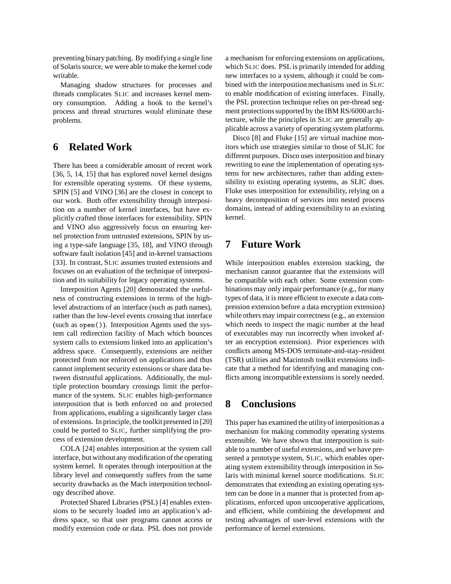preventing binary patching. By modifying a single line of Solaris source, we were able to make the kernel code writable.

Managing shadow structures for processes and threads complicates SLIC and increases kernel memory consumption. Adding a hook to the kernel's process and thread structures would eliminate these problems.

# **6 Related Work**

There has been a considerable amount of recent work [36, 5, 14, 15] that has explored novel kernel designs for extensible operating systems. Of these systems, SPIN [5] and VINO [36] are the closest in concept to our work. Both offer extensibility through interposition on a number of kernel interfaces, but have explicitly crafted those interfaces for extensibility. SPIN and VINO also aggressively focus on ensuring kernel protection from untrusted extensions, SPIN by using a type-safe language [35, 18], and VINO through software fault isolation [45] and in-kernel transactions [33]. In contrast, SLIC assumes trusted extensions and focuses on an evaluation of the technique of interposition and its suitability for legacy operating systems.

Interposition Agents [20] demonstrated the usefulness of constructing extensions in terms of the highlevel abstractions of an interface (such as path names), rather than the low-level events crossing that interface (such as open()). Interposition Agents used the system call redirection facility of Mach which bounces system calls to extensions linked into an application's address space. Consequently, extensions are neither protected from nor enforced on applications and thus cannot implement security extensions or share data between distrustful applications. Additionally, the multiple protection boundary crossings limit the performance of the system. SLIC enables high-performance interposition that is both enforced on and protected from applications, enabling a significantly larger class of extensions. In principle, the toolkit presented in [20] could be ported to SLIC, further simplifying the process of extension development.

COLA [24] enables interposition at the system call interface, but without any modification of the operating system kernel. It operates through interposition at the library level and consequently suffers from the same security drawbacks as the Mach interposition technology described above.

Protected Shared Libraries (PSL) [4] enables extensions to be securely loaded into an application's address space, so that user programs cannot access or modify extension code or data. PSL does not provide a mechanism for enforcing extensions on applications, which SLIC does. PSL is primarily intended for adding new interfaces to a system, although it could be combined with the interposition mechanisms used in SLIC to enable modification of existing interfaces. Finally, the PSL protection technique relies on per-thread segment protections supported by the IBM RS/6000 architecture, while the principles in SLIC are generally applicable across a variety of operating system platforms.

Disco [8] and Fluke [15] are virtual machine monitors which use strategies similar to those of SLIC for different purposes. Disco uses interposition and binary rewriting to ease the implementation of operating systems for new architectures, rather than adding extensibility to existing operating systems, as SLIC does. Fluke uses interposition for extensibility, relying on a heavy decomposition of services into nested process domains, instead of adding extensibility to an existing kernel.

# **7 Future Work**

While interposition enables extension stacking, the mechanism cannot guarantee that the extensions will be compatible with each other. Some extension combinations may only impair performance (e.g., for many types of data, it is more efficient to execute a data compression extension before a data encryption extension) while others may impair correctness (e.g., an extension which needs to inspect the magic number at the head of executables may run incorrectly when invoked after an encryption extension). Prior experiences with conflicts among MS-DOS terminate-and-stay-resident (TSR) utilities and Macintosh toolkit extensions indicate that a method for identifying and managing conflicts among incompatible extensions is sorely needed.

# **8 Conclusions**

This paper has examined the utilityof interpositionas a mechanism for making commodity operating systems extensible. We have shown that interposition is suitable to a number of useful extensions, and we have presented a prototype system, SLIC, which enables operating system extensibility through interposition in Solaris with minimal kernel source modifications. SLIC demonstrates that extending an existing operating system can be done in a manner that is protected from applications, enforced upon uncooperative applications, and efficient, while combining the development and testing advantages of user-level extensions with the performance of kernel extensions.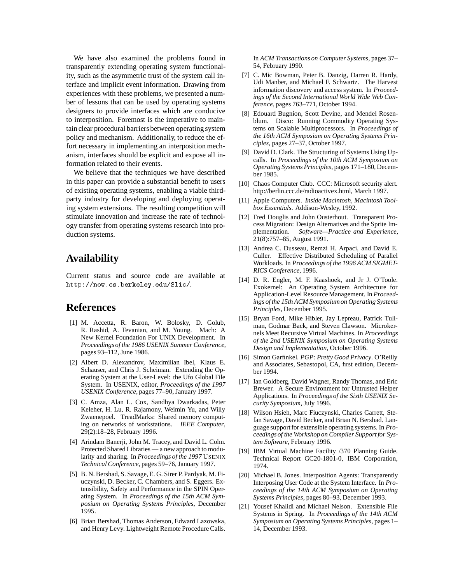We have also examined the problems found in transparently extending operating system functionality, such as the asymmetric trust of the system call interface and implicit event information. Drawing from experiences with these problems, we presented a number of lessons that can be used by operating systems designers to provide interfaces which are conducive to interposition. Foremost is the imperative to maintain clear procedural barriers between operating system policy and mechanism. Additionally, to reduce the effort necessary in implementing an interposition mechanism, interfaces should be explicit and expose all information related to their events.

We believe that the techniques we have described in this paper can provide a substantial benefit to users of existing operating systems, enabling a viable thirdparty industry for developing and deploying operating system extensions. The resulting competition will stimulate innovation and increase the rate of technology transfer from operating systems research into production systems.

# **Availability**

Current status and source code are available at http://now.cs.berkeley.edu/Slic/.

## **References**

- [1] M. Accetta, R. Baron, W. Bolosky, D. Golub, R. Rashid, A. Tevanian, and M. Young. Mach: A New Kernel Foundation For UNIX Development. In *Proceedings of the 1986 USENIX Summer Conference*, pages 93–112, June 1986.
- [2] Albert D. Alexandrov, Maximilian Ibel, Klaus E. Schauser, and Chris J. Scheiman. Extending the Operating System at the User-Level: the Ufo Global File System. In USENIX, editor, *Proceedings of the 1997 USENIX Conference*, pages 77–90, January 1997.
- [3] C. Amza, Alan L. Cox, Sandhya Dwarkadas, Peter Keleher, H. Lu, R. Rajamony, Weimin Yu, and Willy Zwaenepoel. TreadMarks: Shared memory computing on networks of workstations. *IEEE Computer*, 29(2):18–28, February 1996.
- [4] Arindam Banerji, John M. Tracey, and David L. Cohn. Protected Shared Libraries — a new approach to modularity and sharing. In *Proceedings of the 1997* USENIX *Technical Conference*, pages 59–76, January 1997.
- [5] B. N. Bershad, S. Savage, E. G. Sirer P. Pardyak, M. Fiuczynski, D. Becker, C. Chambers, and S. Eggers. Extensibility, Safety and Performance in the SPIN Operating System. In *Proceedings of the 15th ACM Symposium on Operating Systems Principles*, December 1995.
- [6] Brian Bershad, Thomas Anderson, Edward Lazowska, and Henry Levy. Lightweight Remote Procedure Calls.

In *ACM Transactions on Computer Systems*, pages 37– 54, February 1990.

- [7] C. Mic Bowman, Peter B. Danzig, Darren R. Hardy, Udi Manber, and Michael F. Schwartz. The Harvest information discovery and access system. In *Proceedings of the Second International World Wide Web Conference*, pages 763–771, October 1994.
- [8] Edouard Bugnion, Scott Devine, and Mendel Rosenblum. Disco: Running Commodity Operating Systems on Scalable Multiprocessors. In *Proceedings of the 16th ACM Symposium on Operating Systems Principles*, pages 27–37, October 1997.
- [9] David D. Clark. The Structuring of Systems Using Upcalls. In *Proceedings of the 10th ACM Symposium on Operating Systems Principles*, pages 171–180, December 1985.
- [10] Chaos Computer Club. CCC: Microsoft security alert. http://berlin.ccc.de/radioactivex.html, March 1997.
- [11] Apple Computers. *Inside Macintosh, Macintosh Toolbox Essentials*. Addison-Wesley, 1992.
- [12] Fred Douglis and John Ousterhout. Transparent Process Migration: Design Alternatives and the Sprite Implementation. *Software—Practice and Experience*, 21(8):757–85, August 1991.
- [13] Andrea C. Dusseau, Remzi H. Arpaci, and David E. Culler. Effective Distributed Scheduling of Parallel Workloads. In *Proceedings of the 1996 ACM SIGMET-RICS Conference*, 1996.
- [14] D. R. Engler, M. F. Kaashoek, and Jr J. O'Toole. Exokernel: An Operating System Architecture for Application-Level Resource Management. In *Proceedings of the 15th ACM Symposium on Operating Systems Principles*, December 1995.
- [15] Bryan Ford, Mike Hibler, Jay Lepreau, Patrick Tullman, Godmar Back, and Steven Clawson. Microkernels Meet Recursive Virtual Machines. In *Proceedings of the 2nd USENIX Symposium on Operating Systems Design and Implementation*, October 1996.
- [16] Simon Garfinkel. *PGP: Pretty Good Privacy*. O'Reilly and Associates, Sebastopol, CA, first edition, December 1994.
- [17] Ian Goldberg, David Wagner, Randy Thomas, and Eric Brewer. A Secure Environment for Untrusted Helper Applications. In *Proceedings of the Sixth USENIX Security Symposium*, July 1996.
- [18] Wilson Hsieh, Marc Fiuczynski, Charles Garrett, Stefan Savage, David Becker, and Brian N. Bershad. Language support for extensible operating systems. In *Proceedings of the Workshop on Compiler Support for System Software*, February 1996.
- [19] IBM Virtual Machine Facility /370 Planning Guide. Technical Report GC20-1801-0, IBM Corporation, 1974.
- [20] Michael B. Jones. Interposition Agents: Transparently Interposing User Code at the System Interface. In *Proceedings of the 14th ACM Symposium on Operating Systems Principles*, pages 80–93, December 1993.
- [21] Yousef Khalidi and Michael Nelson. Extensible File Systems in Spring. In *Proceedings of the 14th ACM Symposium on Operating Systems Principles*, pages 1– 14, December 1993.